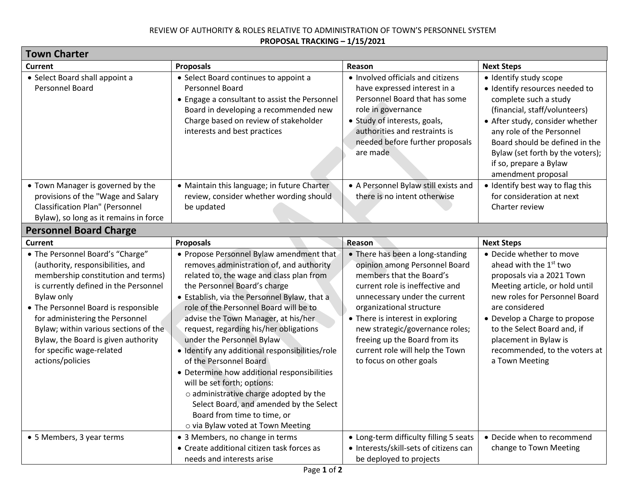## REVIEW OF AUTHORITY & ROLES RELATIVE TO ADMINISTRATION OF TOWN'S PERSONNEL SYSTEM **PROPOSAL TRACKING – 1/15/2021**

| <b>Town Charter</b>                                                                                                                                                                                                                                                                                                                                                                   |                                                                                                                                                                                                                                                                                                                                                                                                                                                                                                                                                                                                                                                                                              |                                                                                                                                                                                                                                                                                                                                                                     |                                                                                                                                                                                                                                                                                                                              |  |
|---------------------------------------------------------------------------------------------------------------------------------------------------------------------------------------------------------------------------------------------------------------------------------------------------------------------------------------------------------------------------------------|----------------------------------------------------------------------------------------------------------------------------------------------------------------------------------------------------------------------------------------------------------------------------------------------------------------------------------------------------------------------------------------------------------------------------------------------------------------------------------------------------------------------------------------------------------------------------------------------------------------------------------------------------------------------------------------------|---------------------------------------------------------------------------------------------------------------------------------------------------------------------------------------------------------------------------------------------------------------------------------------------------------------------------------------------------------------------|------------------------------------------------------------------------------------------------------------------------------------------------------------------------------------------------------------------------------------------------------------------------------------------------------------------------------|--|
| Current                                                                                                                                                                                                                                                                                                                                                                               | <b>Proposals</b>                                                                                                                                                                                                                                                                                                                                                                                                                                                                                                                                                                                                                                                                             | Reason                                                                                                                                                                                                                                                                                                                                                              | <b>Next Steps</b>                                                                                                                                                                                                                                                                                                            |  |
| • Select Board shall appoint a<br>Personnel Board                                                                                                                                                                                                                                                                                                                                     | • Select Board continues to appoint a<br>Personnel Board<br>• Engage a consultant to assist the Personnel<br>Board in developing a recommended new<br>Charge based on review of stakeholder<br>interests and best practices                                                                                                                                                                                                                                                                                                                                                                                                                                                                  | • Involved officials and citizens<br>have expressed interest in a<br>Personnel Board that has some<br>role in governance<br>· Study of interests, goals,<br>authorities and restraints is<br>needed before further proposals<br>are made                                                                                                                            | · Identify study scope<br>· Identify resources needed to<br>complete such a study<br>(financial, staff/volunteers)<br>• After study, consider whether<br>any role of the Personnel<br>Board should be defined in the<br>Bylaw (set forth by the voters);<br>if so, prepare a Bylaw<br>amendment proposal                     |  |
| • Town Manager is governed by the<br>provisions of the "Wage and Salary<br><b>Classification Plan" (Personnel</b><br>Bylaw), so long as it remains in force                                                                                                                                                                                                                           | • Maintain this language; in future Charter<br>review, consider whether wording should<br>be updated                                                                                                                                                                                                                                                                                                                                                                                                                                                                                                                                                                                         | • A Personnel Bylaw still exists and<br>there is no intent otherwise                                                                                                                                                                                                                                                                                                | • Identify best way to flag this<br>for consideration at next<br>Charter review                                                                                                                                                                                                                                              |  |
| <b>Personnel Board Charge</b>                                                                                                                                                                                                                                                                                                                                                         |                                                                                                                                                                                                                                                                                                                                                                                                                                                                                                                                                                                                                                                                                              |                                                                                                                                                                                                                                                                                                                                                                     |                                                                                                                                                                                                                                                                                                                              |  |
| Current                                                                                                                                                                                                                                                                                                                                                                               | <b>Proposals</b>                                                                                                                                                                                                                                                                                                                                                                                                                                                                                                                                                                                                                                                                             | Reason                                                                                                                                                                                                                                                                                                                                                              | <b>Next Steps</b>                                                                                                                                                                                                                                                                                                            |  |
| • The Personnel Board's "Charge"<br>(authority, responsibilities, and<br>membership constitution and terms)<br>is currently defined in the Personnel<br><b>Bylaw only</b><br>• The Personnel Board is responsible<br>for administering the Personnel<br>Bylaw; within various sections of the<br>Bylaw, the Board is given authority<br>for specific wage-related<br>actions/policies | • Propose Personnel Bylaw amendment that<br>removes administration of, and authority<br>related to, the wage and class plan from<br>the Personnel Board's charge<br>• Establish, via the Personnel Bylaw, that a<br>role of the Personnel Board will be to<br>advise the Town Manager, at his/her<br>request, regarding his/her obligations<br>under the Personnel Bylaw<br>· Identify any additional responsibilities/role<br>of the Personnel Board<br>• Determine how additional responsibilities<br>will be set forth; options:<br>o administrative charge adopted by the<br>Select Board, and amended by the Select<br>Board from time to time, or<br>o via Bylaw voted at Town Meeting | • There has been a long-standing<br>opinion among Personnel Board<br>members that the Board's<br>current role is ineffective and<br>unnecessary under the current<br>organizational structure<br>• There is interest in exploring<br>new strategic/governance roles;<br>freeing up the Board from its<br>current role will help the Town<br>to focus on other goals | • Decide whether to move<br>ahead with the 1 <sup>st</sup> two<br>proposals via a 2021 Town<br>Meeting article, or hold until<br>new roles for Personnel Board<br>are considered<br>• Develop a Charge to propose<br>to the Select Board and, if<br>placement in Bylaw is<br>recommended, to the voters at<br>a Town Meeting |  |
| • 5 Members, 3 year terms                                                                                                                                                                                                                                                                                                                                                             | • 3 Members, no change in terms<br>• Create additional citizen task forces as<br>needs and interests arise                                                                                                                                                                                                                                                                                                                                                                                                                                                                                                                                                                                   | • Long-term difficulty filling 5 seats<br>· Interests/skill-sets of citizens can<br>be deployed to projects                                                                                                                                                                                                                                                         | • Decide when to recommend<br>change to Town Meeting                                                                                                                                                                                                                                                                         |  |